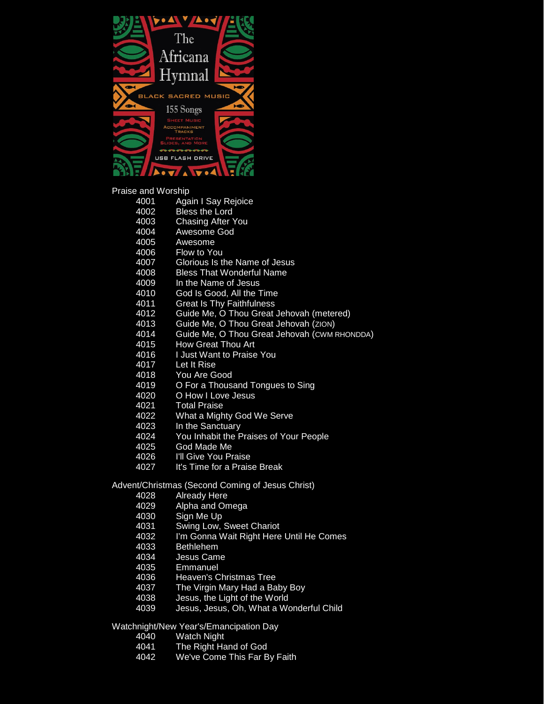

Praise and Worship<br>4001 Aga

- **Again I Say Rejoice**
- 4002 Bless the Lord<br>4003 Chasing After
- **Chasing After You**
- 4004 Awesome God
- 4005 Awesome<br>4006 Flow to Yo
- Flow to You
- 4007 Glorious Is the Name of Jesus
- 4008 Bless That Wonderful Name<br>4009 In the Name of Jesus
- In the Name of Jesus
- 4010 God Is Good, All the Time
- 4011 Great Is Thy Faithfulness<br>4012 Guide Me, O Thou Great,
- 4012 Guide Me, O Thou Great Jehovah (metered)<br>4013 Guide Me, O Thou Great Jehovah (ZION)
- Guide Me, O Thou Great Jehovah (ZION)
- 4014 Guide Me, O Thou Great Jehovah (CWM RHONDDA)
- How Great Thou Art
- 4016 I Just Want to Praise You
- 4017 Let It Rise<br>4018 You Are G
- 4018 You Are Good<br>4019 O For a Thous
- 4019 O For a Thousand Tongues to Sing<br>4020 O How I Love Jesus
- 4020 O How I Love Jesus<br>4021 Total Praise
- 4021 Total Praise<br>4022 What a Migh
- 4022 What a Mighty God We Serve<br>4023 In the Sanctuary
- 4023 In the Sanctuary
- 4024 You Inhabit the Praises of Your People
- 4025 God Made Me
- 4026 I'll Give You Praise
- 4027 It's Time for a Praise Break

Advent/Christmas (Second Coming of Jesus Christ)

- 4028 Already Here<br>4029 Alpha and On
- Alpha and Omega
- 4030 Sign Me Up
- 4031 Swing Low, Sweet Chariot<br>4032 I'm Gonna Wait Right Here
- I'm Gonna Wait Right Here Until He Comes
- 
- 4033 Bethlehem<br>4034 Jesus Cam 4034 Jesus Came<br>4035 Emmanuel
- **Emmanuel**
- 4036 Heaven's Christmas Tree<br>4037 The Virgin Mary Had a Ba
- 4037 The Virgin Mary Had a Baby Boy<br>4038 Jesus, the Light of the World
- Jesus, the Light of the World
- 4039 Jesus, Jesus, Oh, What a Wonderful Child

Watchnight/New Year's/Emancipation Day

- 4040 Watch Night<br>4041 The Right Ha
- 4041 The Right Hand of God<br>4042 We've Come This Far B
- We've Come This Far By Faith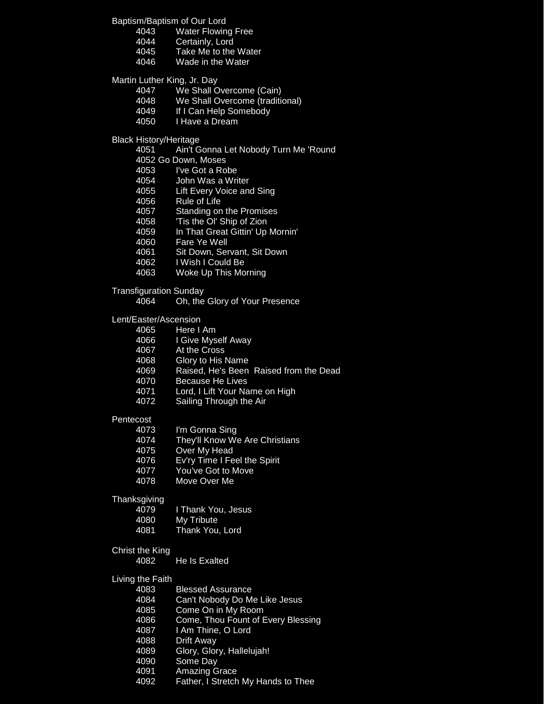Baptism/Baptism of Our Lord

- 4043 Water Flowing Free<br>4044 Certainly, Lord
- 4044 Certainly, Lord<br>4045 Take Me to the
- Take Me to the Water
- 4046 Wade in the Water

Martin Luther King, Jr. Day

- 4047 We Shall Overcome (Cain)
- 4048 We Shall Overcome (traditional)<br>4049 If I Can Help Somebody
- If I Can Help Somebody
- 4050 I Have a Dream

Black History/Heritage

- 4051 Ain't Gonna Let Nobody Turn Me 'Round
- 4052 Go Down, Moses
- I've Got a Robe
- 4054 John Was a Writer
- 4055 Lift Every Voice and Sing<br>4056 Rule of Life
- Rule of Life
- 4057 Standing on the Promises
- 4058 Tis the Ol' Ship of Zion<br>4059 In That Great Gittin' Up
- In That Great Gittin' Up Mornin'
- 4060 Fare Ye Well
- 4061 Sit Down, Servant, Sit Down
- 4062 I Wish I Could Be
- 4063 Woke Up This Morning

Transfiguration Sunday<br>4064 Oh the

Oh, the Glory of Your Presence

Lent/Easter/Ascension<br>4065 Here I

- Here I Am
- 4066 I Give Myself Away
- 4067 At the Cross<br>4068 Glory to His I
- **Glory to His Name**
- 4069 Raised, He's Been Raised from the Dead
- 4070 Because He Lives<br>4071 Lord, I Lift Your Na
- Lord, I Lift Your Name on High
- 4072 Sailing Through the Air

## **Pentecost**

4073 I'm Gonna Sing<br>4074 They'll Know W They'll Know We Are Christians Over My Head Ev'ry Time I Feel the Spirit You've Got to Move Move Over Me

## **Thanksgiving**

| 4079 | I Thank You, Jesus, |
|------|---------------------|
| 4080 | My Tribute          |
| 4081 | Thank You, Lord     |

- Christ the King
	- 4082 He Is Exalted

## Living the Faith

- 4083 Blessed Assurance<br>4084 Can't Nobody Do M Can't Nobody Do Me Like Jesus 4085 Come On in My Room 4086 Come, Thou Fount of Every Blessing 4087 I Am Thine, O Lord 4088 Drift Away 4089 Glory, Glory, Hallelujah! Some Day 4091 Amazing Grace
- 4092 Father, I Stretch My Hands to Thee